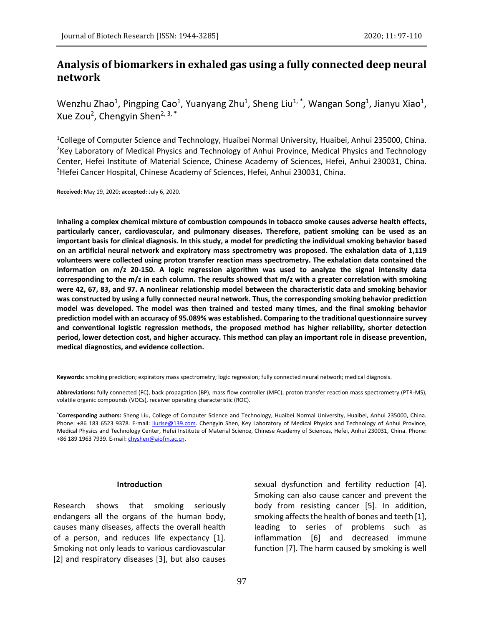# **Analysis of biomarkers in exhaled gas using a fully connected deep neural network**

Wenzhu Zhao<sup>1</sup>, Pingping Cao<sup>1</sup>, Yuanyang Zhu<sup>1</sup>, Sheng Liu<sup>1,\*</sup>, Wangan Song<sup>1</sup>, Jianyu Xiao<sup>1</sup>, Xue Zou<sup>2</sup>, Chengyin Shen<sup>2, 3,</sup> \*

<sup>1</sup>College of Computer Science and Technology, Huaibei Normal University, Huaibei, Anhui 235000, China. <sup>2</sup>Key Laboratory of Medical Physics and Technology of Anhui Province, Medical Physics and Technology Center, Hefei Institute of Material Science, Chinese Academy of Sciences, Hefei, Anhui 230031, China. <sup>3</sup>Hefei Cancer Hospital, Chinese Academy of Sciences, Hefei, Anhui 230031, China.

**Received:** May 19, 2020; **accepted:** July 6, 2020.

**Inhaling a complex chemical mixture of combustion compounds in tobacco smoke causes adverse health effects, particularly cancer, cardiovascular, and pulmonary diseases. Therefore, patient smoking can be used as an important basis for clinical diagnosis. In this study, a model for predicting the individual smoking behavior based on an artificial neural network and expiratory mass spectrometry was proposed. The exhalation data of 1,119 volunteers were collected using proton transfer reaction mass spectrometry. The exhalation data contained the information on m/z 20-150. A logic regression algorithm was used to analyze the signal intensity data corresponding to the m/z in each column. The results showed that m/z with a greater correlation with smoking were 42, 67, 83, and 97. A nonlinear relationship model between the characteristic data and smoking behavior was constructed by using a fully connected neural network. Thus, the corresponding smoking behavior prediction model was developed. The model was then trained and tested many times, and the final smoking behavior prediction model with an accuracy of 95.089% was established. Comparing to the traditional questionnaire survey and conventional logistic regression methods, the proposed method has higher reliability, shorter detection period, lower detection cost, and higher accuracy. This method can play an important role in disease prevention, medical diagnostics, and evidence collection.**

**Keywords:** smoking prediction; expiratory mass spectrometry; logic regression; fully connected neural network; medical diagnosis.

**Abbreviations:** fully connected (FC), back propagation (BP), mass flow controller (MFC), proton transfer reaction mass spectrometry (PTR-MS), volatile organic compounds (VOCs), receiver operating characteristic (ROC).

**\*Corresponding authors:** Sheng Liu, College of Computer Science and Technology, Huaibei Normal University, Huaibei, Anhui 235000, China. Phone: +86 183 6523 9378. E-mail: [liurise@139.com.](mailto:liurise@139.com) Chengyin Shen, Key Laboratory of Medical Physics and Technology of Anhui Province, Medical Physics and Technology Center, Hefei Institute of Material Science, Chinese Academy of Sciences, Hefei, Anhui 230031, China. Phone: +86 189 1963 7939. E-mail[: chyshen@aiofm.ac.cn.](mailto:chyshen@aiofm.ac.cn)

#### **Introduction**

Research shows that smoking seriously endangers all the organs of the human body, causes many diseases, affects the overall health of a person, and reduces life expectancy [1]. Smoking not only leads to various cardiovascular [2] and respiratory diseases [3], but also causes sexual dysfunction and fertility reduction [4]. Smoking can also cause cancer and prevent the body from resisting cancer [5]. In addition, smoking affects the health of bones and teeth [1], leading to series of problems such as inflammation [6] and decreased immune function [7]. The harm caused by smoking is well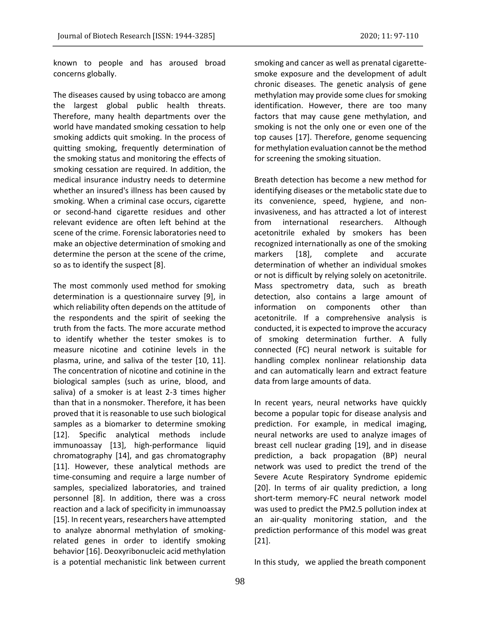known to people and has aroused broad concerns globally.

The diseases caused by using tobacco are among the largest global public health threats. Therefore, many health departments over the world have mandated smoking cessation to help smoking addicts quit smoking. In the process of quitting smoking, frequently determination of the smoking status and monitoring the effects of smoking cessation are required. In addition, the medical insurance industry needs to determine whether an insured's illness has been caused by smoking. When a criminal case occurs, cigarette or second-hand cigarette residues and other relevant evidence are often left behind at the scene of the crime. Forensic laboratories need to make an objective determination of smoking and determine the person at the scene of the crime, so as to identify the suspect [8].

The most commonly used method for smoking determination is a questionnaire survey [9], in which reliability often depends on the attitude of the respondents and the spirit of seeking the truth from the facts. The more accurate method to identify whether the tester smokes is to measure nicotine and cotinine levels in the plasma, urine, and saliva of the tester [10, 11]. The concentration of nicotine and cotinine in the biological samples (such as urine, blood, and saliva) of a smoker is at least 2-3 times higher than that in a nonsmoker. Therefore, it has been proved that it is reasonable to use such biological samples as a biomarker to determine smoking [12]. Specific analytical methods include immunoassay [13], high-performance liquid chromatography [14], and gas chromatography [11]. However, these analytical methods are time-consuming and require a large number of samples, specialized laboratories, and trained personnel [8]. In addition, there was a cross reaction and a lack of specificity in immunoassay [15]. In recent years, researchers have attempted to analyze abnormal methylation of smokingrelated genes in order to identify smoking behavior [16]. Deoxyribonucleic acid methylation is a potential mechanistic link between current smoking and cancer as well as prenatal cigarettesmoke exposure and the development of adult chronic diseases. The genetic analysis of gene methylation may provide some clues for smoking identification. However, there are too many factors that may cause gene methylation, and smoking is not the only one or even one of the top causes [17]. Therefore, genome sequencing for methylation evaluation cannot be the method for screening the smoking situation.

Breath detection has become a new method for identifying diseases or the metabolic state due to its convenience, speed, hygiene, and noninvasiveness, and has attracted a lot of interest from international researchers. Although acetonitrile exhaled by smokers has been recognized internationally as one of the smoking markers [18], complete and accurate determination of whether an individual smokes or not is difficult by relying solely on acetonitrile. Mass spectrometry data, such as breath detection, also contains a large amount of information on components other than acetonitrile. If a comprehensive analysis is conducted, it is expected to improve the accuracy of smoking determination further. A fully connected (FC) neural network is suitable for handling complex nonlinear relationship data and can automatically learn and extract feature data from large amounts of data.

In recent years, neural networks have quickly become a popular topic for disease analysis and prediction. For example, in medical imaging, neural networks are used to analyze images of breast cell nuclear grading [19], and in disease prediction, a back propagation (BP) neural network was used to predict the trend of the Severe Acute Respiratory Syndrome epidemic [20]. In terms of air quality prediction, a long short-term memory-FC neural network model was used to predict the PM2.5 pollution index at an air-quality monitoring station, and the prediction performance of this model was great [21].

In this study, we applied the breath component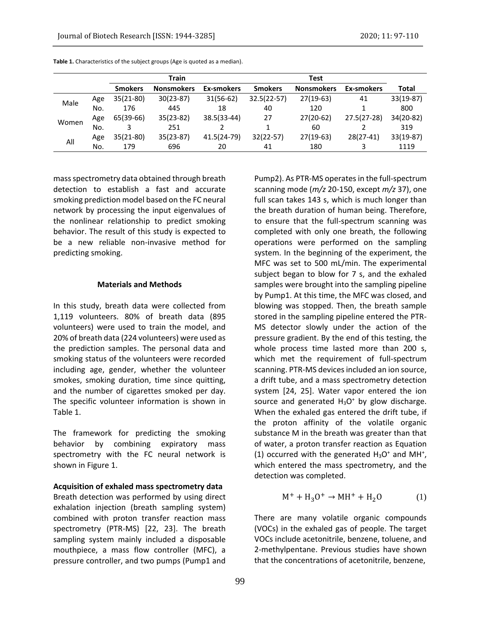|       |     | <b>Train</b>   |                   |             |                |                   |               |             |
|-------|-----|----------------|-------------------|-------------|----------------|-------------------|---------------|-------------|
|       |     | <b>Smokers</b> | <b>Nonsmokers</b> | Ex-smokers  | <b>Smokers</b> | <b>Nonsmokers</b> | Ex-smokers    | Total       |
| Male  | Age | $35(21-80)$    | $30(23-87)$       | $31(56-62)$ | $32.5(22-57)$  | $27(19-63)$       | 41            | $33(19-87)$ |
|       | No. | 176            | 445               | 18          | 40             | 120               |               | 800         |
| Women | Age | 65(39-66)      | $35(23-82)$       | 38.5(33-44) | 27             | $27(20-62)$       | $27.5(27-28)$ | 34(20-82)   |
|       | No. |                | 251               |             |                | 60                |               | 319         |
| All   | Age | $35(21-80)$    | $35(23-87)$       | 41.5(24-79) | $32(22-57)$    | $27(19-63)$       | $28(27-41)$   | $33(19-87)$ |
|       | No. | 179            | 696               | 20          | 41             | 180               |               | 1119        |

**Table 1.** Characteristics of the subject groups (Age is quoted as a median).

mass spectrometry data obtained through breath detection to establish a fast and accurate smoking prediction model based on the FC neural network by processing the input eigenvalues of the nonlinear relationship to predict smoking behavior. The result of this study is expected to be a new reliable non-invasive method for predicting smoking.

# **Materials and Methods**

In this study, breath data were collected from 1,119 volunteers. 80% of breath data (895 volunteers) were used to train the model, and 20% of breath data (224 volunteers) were used as the prediction samples. The personal data and smoking status of the volunteers were recorded including age, gender, whether the volunteer smokes, smoking duration, time since quitting, and the number of cigarettes smoked per day. The specific volunteer information is shown in Table 1.

The framework for predicting the smoking behavior by combining expiratory mass spectrometry with the FC neural network is shown in Figure 1.

**Acquisition of exhaled mass spectrometry data**

Breath detection was performed by using direct exhalation injection (breath sampling system) combined with proton transfer reaction mass spectrometry (PTR-MS) [22, 23]. The breath sampling system mainly included a disposable mouthpiece, a mass flow controller (MFC), a pressure controller, and two pumps (Pump1 and

Pump2). As PTR-MS operates in the full-spectrum scanning mode (*m/z* 20-150, except *m/z* 37), one full scan takes 143 s, which is much longer than the breath duration of human being. Therefore, to ensure that the full-spectrum scanning was completed with only one breath, the following operations were performed on the sampling system. In the beginning of the experiment, the MFC was set to 500 mL/min. The experimental subject began to blow for 7 s, and the exhaled samples were brought into the sampling pipeline by Pump1. At this time, the MFC was closed, and blowing was stopped. Then, the breath sample stored in the sampling pipeline entered the PTR-MS detector slowly under the action of the pressure gradient. By the end of this testing, the whole process time lasted more than 200 s, which met the requirement of full-spectrum scanning. PTR-MS devices included an ion source, a drift tube, and a mass spectrometry detection system [24, 25]. Water vapor entered the ion source and generated  $H_3O^+$  by glow discharge. When the exhaled gas entered the drift tube, if the proton affinity of the volatile organic substance M in the breath was greater than that of water, a proton transfer reaction as Equation (1) occurred with the generated  $H_3O^+$  and MH<sup>+</sup>, which entered the mass spectrometry, and the detection was completed.

$$
\mathrm{M}^+ + \mathrm{H}_3\mathrm{O}^+ \rightarrow \mathrm{M}\mathrm{H}^+ + \mathrm{H}_2\mathrm{O} \tag{1}
$$

There are many volatile organic compounds (VOCs) in the exhaled gas of people. The target VOCs include acetonitrile, benzene, toluene, and 2-methylpentane. Previous studies have shown that the concentrations of acetonitrile, benzene,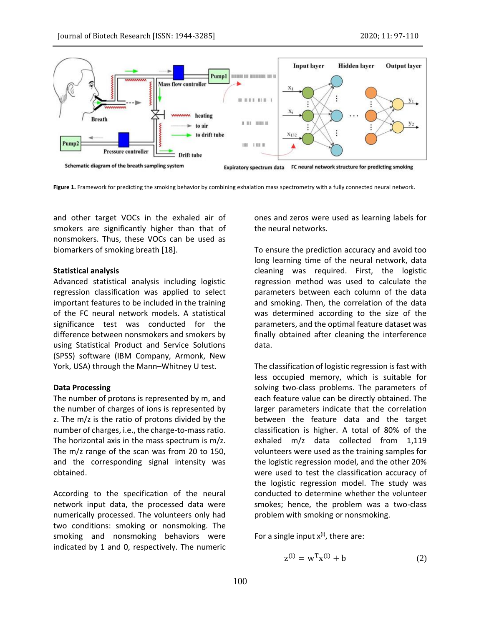

Figure 1. Framework for predicting the smoking behavior by combining exhalation mass spectrometry with a fully connected neural network.

and other target VOCs in the exhaled air of smokers are significantly higher than that of nonsmokers. Thus, these VOCs can be used as biomarkers of smoking breath [18].

### **Statistical analysis**

Advanced statistical analysis including logistic regression classification was applied to select important features to be included in the training of the FC neural network models. A statistical significance test was conducted for the difference between nonsmokers and smokers by using Statistical Product and Service Solutions (SPSS) software (IBM Company, Armonk, New York, USA) through the Mann–Whitney U test.

### **Data Processing**

The number of protons is represented by m, and the number of charges of ions is represented by z. The m/z is the ratio of protons divided by the number of charges, i.e., the charge-to-mass ratio. The horizontal axis in the mass spectrum is m/z. The m/z range of the scan was from 20 to 150, and the corresponding signal intensity was obtained.

According to the specification of the neural network input data, the processed data were numerically processed. The volunteers only had two conditions: smoking or nonsmoking. The smoking and nonsmoking behaviors were indicated by 1 and 0, respectively. The numeric ones and zeros were used as learning labels for the neural networks.

To ensure the prediction accuracy and avoid too long learning time of the neural network, data cleaning was required. First, the logistic regression method was used to calculate the parameters between each column of the data and smoking. Then, the correlation of the data was determined according to the size of the parameters, and the optimal feature dataset was finally obtained after cleaning the interference data.

The classification of logistic regression is fast with less occupied memory, which is suitable for solving two-class problems. The parameters of each feature value can be directly obtained. The larger parameters indicate that the correlation between the feature data and the target classification is higher. A total of 80% of the exhaled m/z data collected from 1,119 volunteers were used as the training samples for the logistic regression model, and the other 20% were used to test the classification accuracy of the logistic regression model. The study was conducted to determine whether the volunteer smokes; hence, the problem was a two-class problem with smoking or nonsmoking.

For a single input  $x^{(i)}$ , there are:

$$
z^{(i)} = w^{T} x^{(i)} + b \tag{2}
$$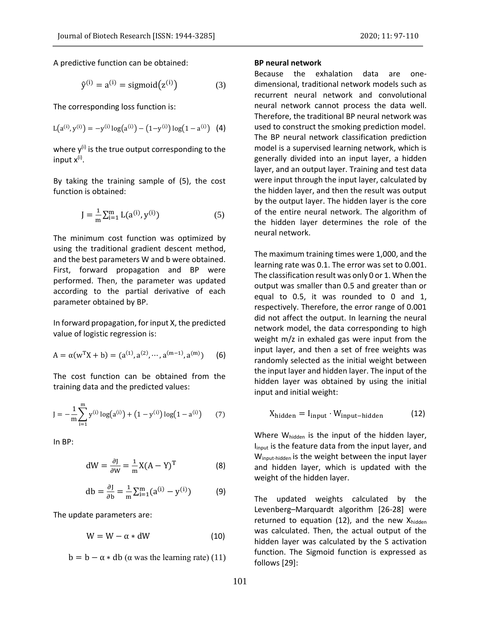A predictive function can be obtained:

$$
\hat{y}^{(i)} = a^{(i)} = sigmoid(z^{(i)})\tag{3}
$$

The corresponding loss function is:

$$
L(a^{(i)}, y^{(i)}) = -y^{(i)} \log(a^{(i)}) - (1 - y^{(i)}) \log(1 - a^{(i)}) \quad (4)
$$

where  $y^{(i)}$  is the true output corresponding to the input x<sup>(i)</sup>.

By taking the training sample of (5), the cost function is obtained:

$$
J = \frac{1}{m} \sum_{i=1}^{m} L(a^{(i)}, y^{(i)})
$$
 (5)

The minimum cost function was optimized by using the traditional gradient descent method, and the best parameters W and b were obtained. First, forward propagation and BP were performed. Then, the parameter was updated according to the partial derivative of each parameter obtained by BP.

In forward propagation, for input X, the predicted value of logistic regression is:

$$
A = \alpha(w^{T}X + b) = (a^{(1)}, a^{(2)}, \cdots, a^{(m-1)}, a^{(m)})
$$
 (6)

The cost function can be obtained from the training data and the predicted values:

$$
J = -\frac{1}{m} \sum_{i=1}^{m} y^{(i)} \log(a^{(i)}) + (1 - y^{(i)}) \log(1 - a^{(i)}) \tag{7}
$$

In BP:

$$
dW = \frac{\partial J}{\partial W} = \frac{1}{m} X(A - Y)^T
$$
 (8)

$$
db = \frac{\partial J}{\partial b} = \frac{1}{m} \sum_{i=1}^{m} (a^{(i)} - y^{(i)})
$$
(9)

The update parameters are:

$$
W = W - \alpha * dW \qquad (10)
$$

 $b = b - \alpha * db$  ( $\alpha$  was the learning rate) (11)

### **BP neural network**

Because the exhalation data are onedimensional, traditional network models such as recurrent neural network and convolutional neural network cannot process the data well. Therefore, the traditional BP neural network was used to construct the smoking prediction model. The BP neural network classification prediction model is a supervised learning network, which is generally divided into an input layer, a hidden layer, and an output layer. Training and test data were input through the input layer, calculated by the hidden layer, and then the result was output by the output layer. The hidden layer is the core of the entire neural network. The algorithm of the hidden layer determines the role of the neural network.

The maximum training times were 1,000, and the learning rate was 0.1. The error was set to 0.001. The classification result was only 0 or 1. When the output was smaller than 0.5 and greater than or equal to 0.5, it was rounded to 0 and 1, respectively. Therefore, the error range of 0.001 did not affect the output. In learning the neural network model, the data corresponding to high weight m/z in exhaled gas were input from the input layer, and then a set of free weights was randomly selected as the initial weight between the input layer and hidden layer. The input of the hidden layer was obtained by using the initial input and initial weight:

$$
X_{\text{hidden}} = I_{\text{input}} \cdot W_{\text{input-hidden}} \tag{12}
$$

Where W<sub>hidden</sub> is the input of the hidden layer, I<sub>input</sub> is the feature data from the input layer, and Winput-hidden is the weight between the input layer and hidden layer, which is updated with the weight of the hidden layer.

The updated weights calculated by the Levenberg–Marquardt algorithm [26-28] were returned to equation  $(12)$ , and the new Xhidden was calculated. Then, the actual output of the hidden layer was calculated by the S activation function. The Sigmoid function is expressed as follows [29]: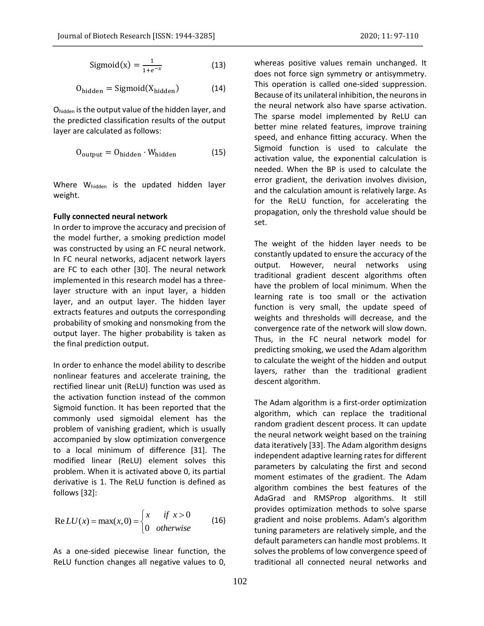$$
Sigmoid(x) = \frac{1}{1 + e^{-x}}
$$
 (13)

$$
O_{hidden} = Sigmoid(X_{hidden})
$$
 (14)

Ohidden is the output value of the hidden layer, and the predicted classification results of the output layer are calculated as follows:

$$
O_{\text{output}} = O_{\text{hidden}} \cdot W_{\text{hidden}} \tag{15}
$$

Where Whidden is the updated hidden layer weight.

### **Fully connected neural network**

In order to improve the accuracy and precision of the model further, a smoking prediction model was constructed by using an FC neural network. In FC neural networks, adjacent network layers are FC to each other [30]. The neural network implemented in this research model has a threelayer structure with an input layer, a hidden layer, and an output layer. The hidden layer extracts features and outputs the corresponding probability of smoking and nonsmoking from the output layer. The higher probability is taken as the final prediction output.

In order to enhance the model ability to describe nonlinear features and accelerate training, the rectified linear unit (ReLU) function was used as the activation function instead of the common Sigmoid function. It has been reported that the commonly used sigmoidal element has the problem of vanishing gradient, which is usually accompanied by slow optimization convergence to a local minimum of difference [31]. The modified linear (ReLU) element solves this problem. When it is activated above 0, its partial derivative is 1. The ReLU function is defined as follows [32]:

Re 
$$
LU(x) = max(x, 0) =
$$
\n
$$
\begin{cases}\nx & \text{if } x > 0 \\
0 & \text{otherwise}\n\end{cases}
$$
\n(16)

As a one-sided piecewise linear function, the ReLU function changes all negative values to 0,

whereas positive values remain unchanged. It does not force sign symmetry or antisymmetry. This operation is called one-sided suppression. Because of its unilateral inhibition, the neurons in the neural network also have sparse activation. The sparse model implemented by ReLU can better mine related features, improve training speed, and enhance fitting accuracy. When the Sigmoid function is used to calculate the activation value, the exponential calculation is needed. When the BP is used to calculate the error gradient, the derivation involves division, and the calculation amount is relatively large. As for the ReLU function, for accelerating the propagation, only the threshold value should be set.

The weight of the hidden layer needs to be constantly updated to ensure the accuracy of the output. However, neural networks using traditional gradient descent algorithms often have the problem of local minimum. When the learning rate is too small or the activation function is very small, the update speed of weights and thresholds will decrease, and the convergence rate of the network will slow down. Thus, in the FC neural network model for predicting smoking, we used the Adam algorithm to calculate the weight of the hidden and output layers, rather than the traditional gradient descent algorithm.

The Adam algorithm is a first-order optimization algorithm, which can replace the traditional random gradient descent process. It can update the neural network weight based on the training data iteratively [33]. The Adam algorithm designs independent adaptive learning rates for different parameters by calculating the first and second moment estimates of the gradient. The Adam algorithm combines the best features of the AdaGrad and RMSProp algorithms. It still provides optimization methods to solve sparse gradient and noise problems. Adam's algorithm tuning parameters are relatively simple, and the default parameters can handle most problems. It solves the problems of low convergence speed of traditional all connected neural networks and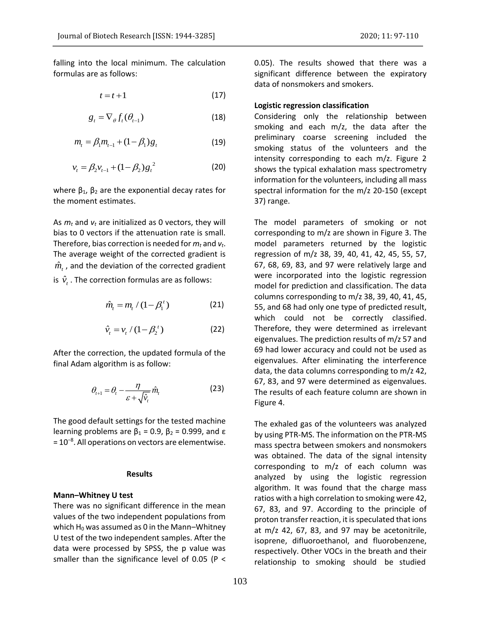falling into the local minimum. The calculation formulas are as follows:

$$
t = t + 1 \tag{17}
$$

$$
g_t = \nabla_{\theta} f_t(\theta_{t-1})
$$
\n(18)

$$
m_{t} = \beta_{1} m_{t-1} + (1 - \beta_{1}) g_{t}
$$
 (19)

$$
v_t = \beta_2 v_{t-1} + (1 - \beta_2) g_t^2
$$
 (20)

where  $β_1$ ,  $β_2$  are the exponential decay rates for the moment estimates.

As *m<sup>t</sup>* and *v<sup>t</sup>* are initialized as 0 vectors, they will bias to 0 vectors if the attenuation rate is small. Therefore, bias correction is needed for *m<sup>t</sup>* and *vt*. The average weight of the corrected gradient is  $\hat{m}_t$  , and the deviation of the corrected gradient is  $\hat{v}_t$  . The correction formulas are as follows:

$$
\hat{m}_t = m_t / (1 - \beta_1^t) \tag{21}
$$

$$
\hat{v}_t = v_t / (1 - \beta_2^t) \tag{22}
$$

After the correction, the updated formula of the final Adam algorithm is as follow:

$$
\theta_{t+1} = \theta_t - \frac{\eta}{\varepsilon + \sqrt{\hat{v}_t}} \hat{m}_t
$$
 (23)

The good default settings for the tested machine learning problems are  $β_1 = 0.9$ ,  $β_2 = 0.999$ , and ε = 10<sup>-8</sup>. All operations on vectors are elementwise.

### **Results**

# **Mann–Whitney U test**

There was no significant difference in the mean values of the two independent populations from which  $H_0$  was assumed as 0 in the Mann–Whitney U test of the two independent samples. After the data were processed by SPSS, the p value was smaller than the significance level of 0.05 (P <

0.05). The results showed that there was a significant difference between the expiratory data of nonsmokers and smokers.

# **Logistic regression classification**

Considering only the relationship between smoking and each m/z, the data after the preliminary coarse screening included the smoking status of the volunteers and the intensity corresponding to each m/z. Figure 2 shows the typical exhalation mass spectrometry information for the volunteers, including all mass spectral information for the m/z 20-150 (except 37) range.

The model parameters of smoking or not corresponding to m/z are shown in Figure 3. The model parameters returned by the logistic regression of m/z 38, 39, 40, 41, 42, 45, 55, 57, 67, 68, 69, 83, and 97 were relatively large and were incorporated into the logistic regression model for prediction and classification. The data columns corresponding to m/z 38, 39, 40, 41, 45, 55, and 68 had only one type of predicted result, which could not be correctly classified. Therefore, they were determined as irrelevant eigenvalues. The prediction results of m/z 57 and 69 had lower accuracy and could not be used as eigenvalues. After eliminating the interference data, the data columns corresponding to m/z 42, 67, 83, and 97 were determined as eigenvalues. The results of each feature column are shown in Figure 4.

The exhaled gas of the volunteers was analyzed by using PTR-MS. The information on the PTR-MS mass spectra between smokers and nonsmokers was obtained. The data of the signal intensity corresponding to m/z of each column was analyzed by using the logistic regression algorithm. It was found that the charge mass ratios with a high correlation to smoking were 42, 67, 83, and 97. According to the principle of proton transfer reaction, it is speculated that ions at m/z 42, 67, 83, and 97 may be acetonitrile, isoprene, difluoroethanol, and fluorobenzene, respectively. Other VOCs in the breath and their relationship to smoking should be studied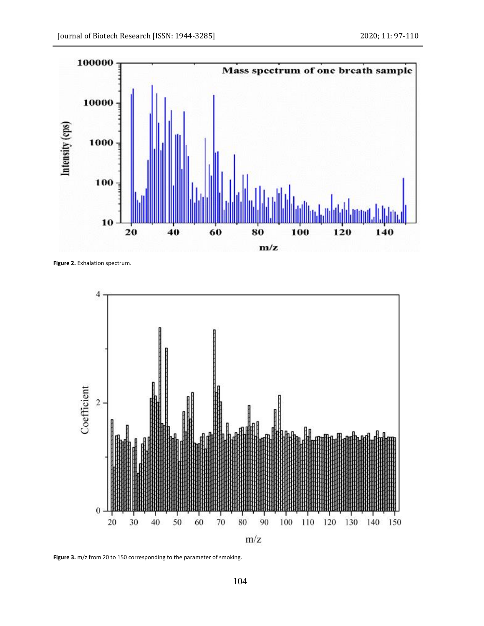

**Figure 2.** Exhalation spectrum.



**Figure 3.** m/z from 20 to 150 corresponding to the parameter of smoking.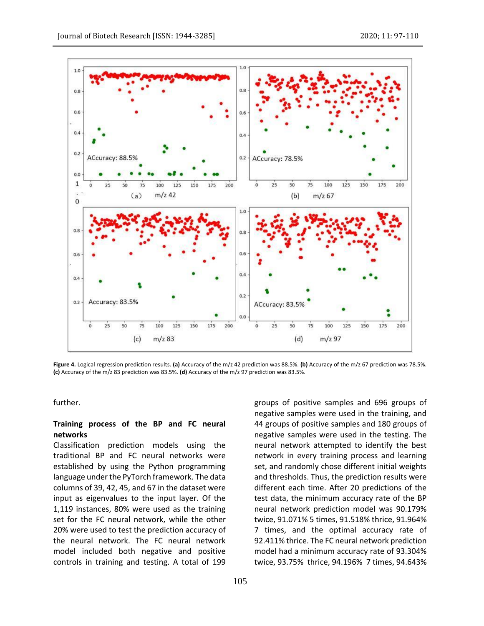

**Figure 4.** Logical regression prediction results. **(a)** Accuracy of the m/z 42 prediction was 88.5%. **(b)** Accuracy of the m/z 67 prediction was 78.5%. **(c)** Accuracy of the m/z 83 prediction was 83.5%. **(d)** Accuracy of the m/z 97 prediction was 83.5%.

further.

# **Training process of the BP and FC neural networks**

Classification prediction models using the traditional BP and FC neural networks were established by using the Python programming language under the PyTorch framework. The data columns of 39, 42, 45, and 67 in the dataset were input as eigenvalues to the input layer. Of the 1,119 instances, 80% were used as the training set for the FC neural network, while the other 20% were used to test the prediction accuracy of the neural network. The FC neural network model included both negative and positive controls in training and testing. A total of 199

negative samples were used in the training, and 44 groups of positive samples and 180 groups of negative samples were used in the testing. The neural network attempted to identify the best network in every training process and learning set, and randomly chose different initial weights and thresholds. Thus, the prediction results were different each time. After 20 predictions of the test data, the minimum accuracy rate of the BP neural network prediction model was 90.179% twice, 91.071% 5 times, 91.518% thrice, 91.964% 7 times, and the optimal accuracy rate of 92.411% thrice. The FC neural network prediction model had a minimum accuracy rate of 93.304% twice, 93.75% thrice, 94.196% 7 times, 94.643%

groups of positive samples and 696 groups of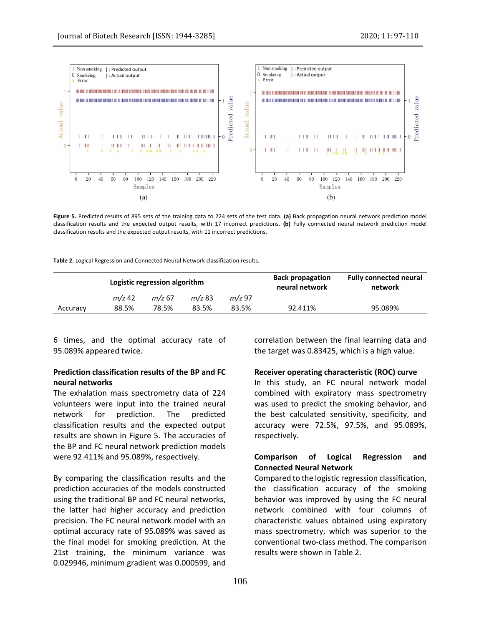

**Figure 5.** Predicted results of 895 sets of the training data to 224 sets of the test data. **(a)** Back propagation neural network prediction model classification results and the expected output results, with 17 incorrect predictions. **(b)** Fully connected neural network prediction model classification results and the expected output results, with 11 incorrect predictions.

| Table 2. Logical Regression and Connected Neural Network classification results. |  |
|----------------------------------------------------------------------------------|--|
|----------------------------------------------------------------------------------|--|

|          | Logistic regression algorithm |          |          |          | <b>Back propagation</b><br>neural network | <b>Fully connected neural</b><br>network |
|----------|-------------------------------|----------|----------|----------|-------------------------------------------|------------------------------------------|
|          | $m/z$ 42                      | $m/z$ 67 | $m/z$ 83 | $m/z$ 97 |                                           |                                          |
| Accuracy | 88.5%                         | 78.5%    | 83.5%    | 83.5%    | 92.411%                                   | 95.089%                                  |

6 times, and the optimal accuracy rate of 95.089% appeared twice.

# **Prediction classification results of the BP and FC neural networks**

The exhalation mass spectrometry data of 224 volunteers were input into the trained neural network for prediction. The predicted classification results and the expected output results are shown in Figure 5. The accuracies of the BP and FC neural network prediction models were 92.411% and 95.089%, respectively.

By comparing the classification results and the prediction accuracies of the models constructed using the traditional BP and FC neural networks, the latter had higher accuracy and prediction precision. The FC neural network model with an optimal accuracy rate of 95.089% was saved as the final model for smoking prediction. At the 21st training, the minimum variance was 0.029946, minimum gradient was 0.000599, and

correlation between the final learning data and the target was 0.83425, which is a high value.

# **Receiver operating characteristic (ROC) curve**

In this study, an FC neural network model combined with expiratory mass spectrometry was used to predict the smoking behavior, and the best calculated sensitivity, specificity, and accuracy were 72.5%, 97.5%, and 95.089%, respectively.

# **Comparison of Logical Regression and Connected Neural Network**

Compared to the logistic regression classification, the classification accuracy of the smoking behavior was improved by using the FC neural network combined with four columns of characteristic values obtained using expiratory mass spectrometry, which was superior to the conventional two-class method. The comparison results were shown in Table 2.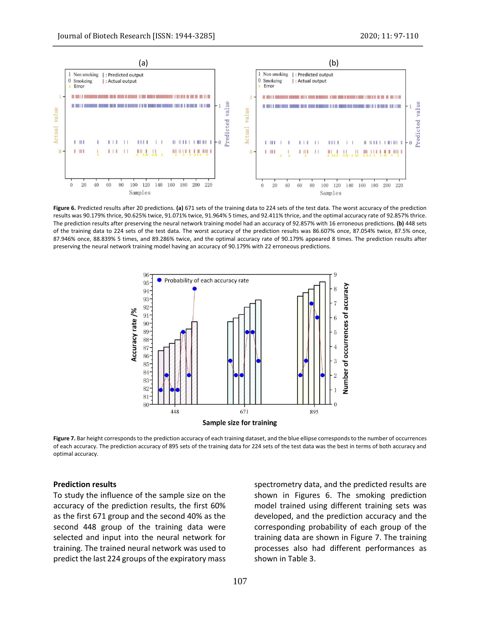

**Figure 6.** Predicted results after 20 predictions. **(a)** 671 sets of the training data to 224 sets of the test data. The worst accuracy of the prediction results was 90.179% thrice, 90.625% twice, 91.071% twice, 91.964% 5 times, and 92.411% thrice, and the optimal accuracy rate of 92.857% thrice. The prediction results after preserving the neural network training model had an accuracy of 92.857% with 16 erroneous predictions. **(b)** 448 sets of the training data to 224 sets of the test data. The worst accuracy of the prediction results was 86.607% once, 87.054% twice, 87.5% once, 87.946% once, 88.839% 5 times, and 89.286% twice, and the optimal accuracy rate of 90.179% appeared 8 times. The prediction results after preserving the neural network training model having an accuracy of 90.179% with 22 erroneous predictions.



**Figure 7.** Bar height corresponds to the prediction accuracy of each training dataset, and the blue ellipse corresponds to the number of occurrences of each accuracy. The prediction accuracy of 895 sets of the training data for 224 sets of the test data was the best in terms of both accuracy and optimal accuracy.

# **Prediction results**

To study the influence of the sample size on the accuracy of the prediction results, the first 60% as the first 671 group and the second 40% as the second 448 group of the training data were selected and input into the neural network for training. The trained neural network was used to predict the last 224 groups of the expiratory mass spectrometry data, and the predicted results are shown in Figures 6. The smoking prediction model trained using different training sets was developed, and the prediction accuracy and the corresponding probability of each group of the training data are shown in Figure 7. The training processes also had different performances as shown in Table 3.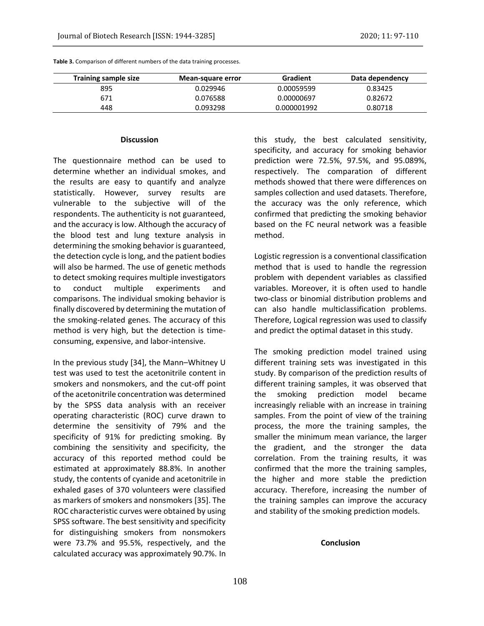| <b>Training sample size</b> | Mean-square error | Gradient    | Data dependency |
|-----------------------------|-------------------|-------------|-----------------|
| 895                         | 0.029946          | 0.00059599  | 0.83425         |
| 671                         | 0.076588          | 0.00000697  | 0.82672         |
| 448                         | 0.093298          | 0.000001992 | 0.80718         |

**Table 3.** Comparison of different numbers of the data training processes.

#### **Discussion**

The questionnaire method can be used to determine whether an individual smokes, and the results are easy to quantify and analyze statistically. However, survey results are vulnerable to the subjective will of the respondents. The authenticity is not guaranteed, and the accuracy is low. Although the accuracy of the blood test and lung texture analysis in determining the smoking behavior is guaranteed, the detection cycle is long, and the patient bodies will also be harmed. The use of genetic methods to detect smoking requires multiple investigators to conduct multiple experiments and comparisons. The individual smoking behavior is finally discovered by determining the mutation of the smoking-related genes. The accuracy of this method is very high, but the detection is timeconsuming, expensive, and labor-intensive.

In the previous study [34], the Mann–Whitney U test was used to test the acetonitrile content in smokers and nonsmokers, and the cut-off point of the acetonitrile concentration was determined by the SPSS data analysis with an receiver operating characteristic (ROC) curve drawn to determine the sensitivity of 79% and the specificity of 91% for predicting smoking. By combining the sensitivity and specificity, the accuracy of this reported method could be estimated at approximately 88.8%. In another study, the contents of cyanide and acetonitrile in exhaled gases of 370 volunteers were classified as markers of smokers and nonsmokers [35]. The ROC characteristic curves were obtained by using SPSS software. The best sensitivity and specificity for distinguishing smokers from nonsmokers were 73.7% and 95.5%, respectively, and the calculated accuracy was approximately 90.7%. In

this study, the best calculated sensitivity, specificity, and accuracy for smoking behavior prediction were 72.5%, 97.5%, and 95.089%, respectively. The comparation of different methods showed that there were differences on samples collection and used datasets. Therefore, the accuracy was the only reference, which confirmed that predicting the smoking behavior based on the FC neural network was a feasible method.

Logistic regression is a conventional classification method that is used to handle the regression problem with dependent variables as classified variables. Moreover, it is often used to handle two-class or binomial distribution problems and can also handle multiclassification problems. Therefore, Logical regression was used to classify and predict the optimal dataset in this study.

The smoking prediction model trained using different training sets was investigated in this study. By comparison of the prediction results of different training samples, it was observed that the smoking prediction model became increasingly reliable with an increase in training samples. From the point of view of the training process, the more the training samples, the smaller the minimum mean variance, the larger the gradient, and the stronger the data correlation. From the training results, it was confirmed that the more the training samples, the higher and more stable the prediction accuracy. Therefore, increasing the number of the training samples can improve the accuracy and stability of the smoking prediction models.

# **Conclusion**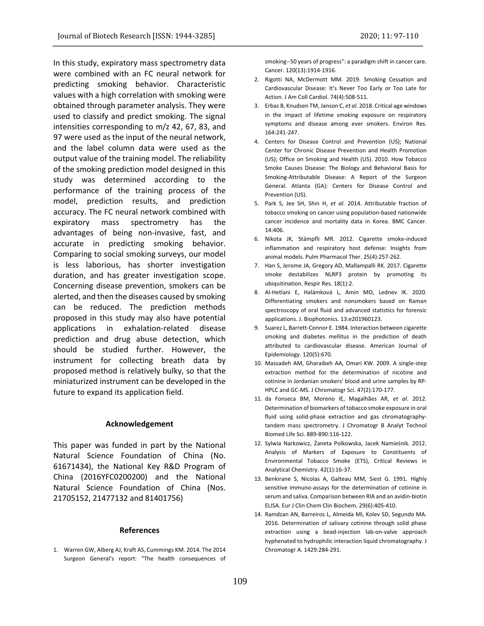In this study, expiratory mass spectrometry data were combined with an FC neural network for predicting smoking behavior. Characteristic values with a high correlation with smoking were obtained through parameter analysis. They were used to classify and predict smoking. The signal intensities corresponding to m/z 42, 67, 83, and 97 were used as the input of the neural network, and the label column data were used as the output value of the training model. The reliability of the smoking prediction model designed in this study was determined according to the performance of the training process of the model, prediction results, and prediction accuracy. The FC neural network combined with expiratory mass spectrometry has the advantages of being non-invasive, fast, and accurate in predicting smoking behavior. Comparing to social smoking surveys, our model is less laborious, has shorter investigation duration, and has greater investigation scope. Concerning disease prevention, smokers can be alerted, and then the diseases caused by smoking can be reduced. The prediction methods proposed in this study may also have potential applications in exhalation-related disease prediction and drug abuse detection, which should be studied further. However, the instrument for collecting breath data by proposed method is relatively bulky, so that the miniaturized instrument can be developed in the future to expand its application field.

### **Acknowledgement**

This paper was funded in part by the National Natural Science Foundation of China (No. 61671434), the National Key R&D Program of China (2016YFC0200200) and the National Natural Science Foundation of China (Nos. 21705152, 21477132 and 81401756)

#### **References**

1. Warren GW, Alberg AJ, Kraft AS, Cummings KM. 2014. The 2014 Surgeon General's report: "The health consequences of

smoking--50 years of progress": a paradigm shift in cancer care. Cancer. 120(13):1914‐1916.

- 2. Rigotti NA, McDermott MM. 2019. Smoking Cessation and Cardiovascular Disease: It's Never Too Early or Too Late for Action. J Am Coll Cardiol. 74(4):508‐511.
- 3. Erbas B, Knudsen TM, Janson C, *et al*. 2018. Critical age windows in the impact of lifetime smoking exposure on respiratory symptoms and disease among ever smokers. Environ Res. 164:241‐247.
- 4. Centers for Disease Control and Prevention (US); National Center for Chronic Disease Prevention and Health Promotion (US); Office on Smoking and Health (US). 2010. How Tobacco Smoke Causes Disease: The Biology and Behavioral Basis for Smoking-Attributable Disease: A Report of the Surgeon General. Atlanta (GA): Centers for Disease Control and Prevention (US).
- 5. Park S, Jee SH, Shin H, *et al*. 2014. Attributable fraction of tobacco smoking on cancer using population-based nationwide cancer incidence and mortality data in Korea. BMC Cancer. 14:406.
- 6. Nikota JK, Stämpfli MR. 2012. Cigarette smoke-induced inflammation and respiratory host defense: Insights from animal models. Pulm Pharmacol Ther. 25(4):257‐262.
- 7. Han S, Jerome JA, Gregory AD, Mallampalli RK. 2017. Cigarette smoke destabilizes NLRP3 protein by promoting its ubiquitination. Respir Res. 18(1):2.
- 8. Al‐Hetlani E, Halámková L, Amin MO, Lednev IK. 2020. Differentiating smokers and nonsmokers based on Raman spectroscopy of oral fluid and advanced statistics for forensic applications. J. Biophotonics. 13:e201960123.
- 9. Suarez L, Barrett-Connor E. 1984. Interaction between cigarette smoking and diabetes mellitus in the prediction of death attributed to cardiovascular disease. American Journal of Epidemiology. 120(5):670.
- 10. Massadeh AM, Gharaibeh AA, Omari KW. 2009. A single-step extraction method for the determination of nicotine and cotinine in Jordanian smokers' blood and urine samples by RP-HPLC and GC-MS. J Chromatogr Sci. 47(2):170‐177.
- 11. da Fonseca BM, Moreno IE, Magalhães AR, *et al*. 2012. Determination of biomarkers of tobacco smoke exposure in oral fluid using solid-phase extraction and gas chromatographytandem mass spectrometry. J Chromatogr B Analyt Technol Biomed Life Sci. 889-890:116‐122.
- 12. Sylwia Narkowicz, Żaneta Polkowska, Jacek Namieśnik. 2012. Analysis of Markers of Exposure to Constituents of Environmental Tobacco Smoke (ETS), Critical Reviews in Analytical Chemistry. 42(1):16-37.
- 13. Benkirane S, Nicolas A, Galteau MM, Siest G. 1991. Highly sensitive immuno-assays for the determination of cotinine in serum and saliva. Comparison between RIA and an avidin-biotin ELISA. Eur J Clin Chem Clin Biochem. 29(6):405‐410.
- 14. Ramdzan AN, Barreiros L, Almeida MI, Kolev SD, Segundo MA. 2016. Determination of salivary cotinine through solid phase extraction using a bead-injection lab-on-valve approach hyphenated to hydrophilic interaction liquid chromatography. J Chromatogr A. 1429:284‐291.